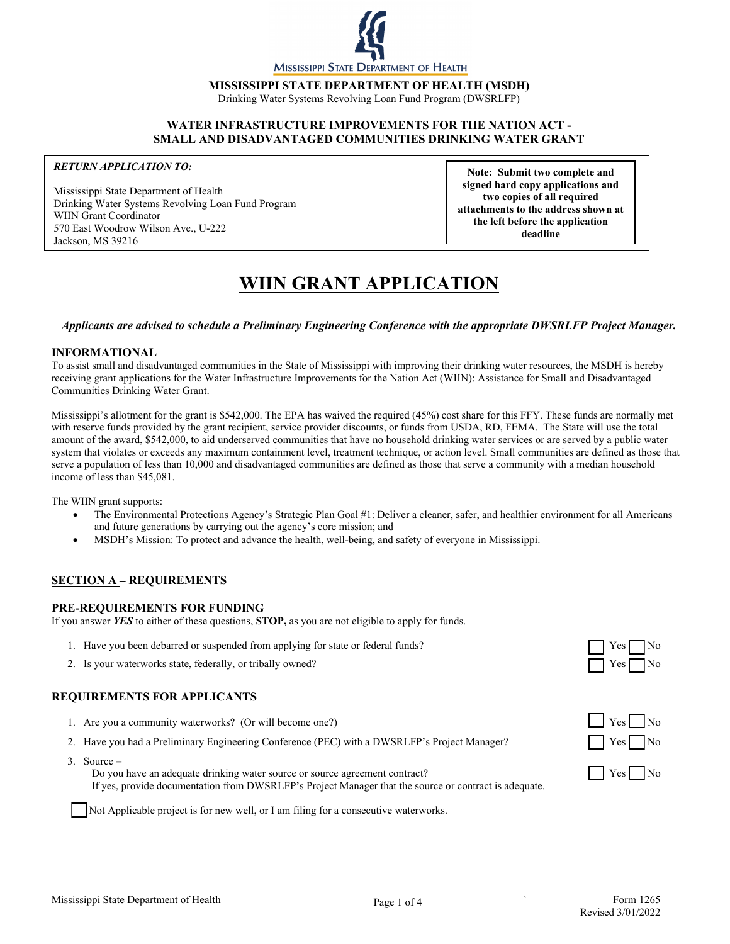

**MISSISSIPPI STATE DEPARTMENT OF HEALTH (MSDH)**

Drinking Water Systems Revolving Loan Fund Program (DWSRLFP)

#### **WATER INFRASTRUCTURE IMPROVEMENTS FOR THE NATION ACT - SMALL AND DISADVANTAGED COMMUNITIES DRINKING WATER GRANT**

#### *RETURN APPLICATION TO:*

 570 East Woodrow Wilson Ave., U-222 Jackson, MS 39216 Mississippi State Department of Health Drinking Water Systems Revolving Loan Fund Program WIIN Grant Coordinator

**Note: Submit two complete and signed hard copy applications and two copies of all required attachments to the address shown at the left before the application deadline**

# **WIIN GRANT APPLICATION**

#### *Applicants are advised to schedule a Preliminary Engineering Conference with the appropriate DWSRLFP Project Manager.*

#### **INFORMATIONAL**

To assist small and disadvantaged communities in the State of Mississippi with improving their drinking water resources, the MSDH is hereby receiving grant applications for the Water Infrastructure Improvements for the Nation Act (WIIN): Assistance for Small and Disadvantaged Communities Drinking Water Grant.

Mississippi's allotment for the grant is \$542,000. The EPA has waived the required (45%) cost share for this FFY. These funds are normally met with reserve funds provided by the grant recipient, service provider discounts, or funds from USDA, RD, FEMA. The State will use the total amount of the award, \$542,000, to aid underserved communities that have no household drinking water services or are served by a public water system that violates or exceeds any maximum containment level, treatment technique, or action level. Small communities are defined as those that serve a population of less than 10,000 and disadvantaged communities are defined as those that serve a community with a median household income of less than \$45,081.

The WIIN grant supports:

- The Environmental Protections Agency's Strategic Plan Goal #1: Deliver a cleaner, safer, and healthier environment for all Americans and future generations by carrying out the agency's core mission; and
- MSDH's Mission: To protect and advance the health, well-being, and safety of everyone in Mississippi.

# **SECTION A – REQUIREMENTS**

#### **PRE-REQUIREMENTS FOR FUNDING**

If you answer *YES* to either of these questions, **STOP,** as you are not eligible to apply for funds.

- 1. Have you been debarred or suspended from applying for state or federal funds?
- 2. Is your waterworks state, federally, or tribally owned?  $\Box$  Yes

# **REQUIREMENTS FOR APPLICANTS**

- 1. Are you a community waterworks? (Or will become one?)  $\Box$  Yes
- 2. Have you had a Preliminary Engineering Conference (PEC) with a DWSRLFP's Project Manager? Yes
- 3. Source –

Do you have an adequate drinking water source or source agreement contract?  $|$  Yes No If yes, provide documentation from DWSRLFP's Project Manager that the source or contract is adequate.

Not Applicable project is for new well, or I am filing for a consecutive waterworks.





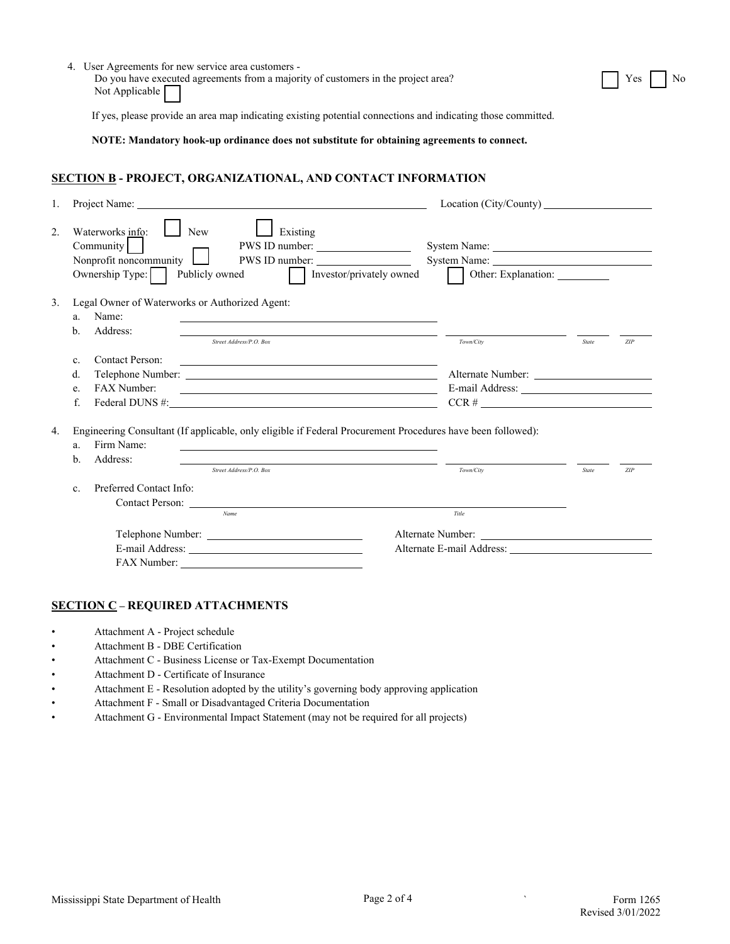|                                  | 4. User Agreements for new service area customers -<br>Do you have executed agreements from a majority of customers in the project area?<br>Not Applicable       |                                                                             |       | Yes |
|----------------------------------|------------------------------------------------------------------------------------------------------------------------------------------------------------------|-----------------------------------------------------------------------------|-------|-----|
|                                  | If yes, please provide an area map indicating existing potential connections and indicating those committed.                                                     |                                                                             |       |     |
|                                  | NOTE: Mandatory hook-up ordinance does not substitute for obtaining agreements to connect.                                                                       |                                                                             |       |     |
|                                  | <b>SECTION B - PROJECT, ORGANIZATIONAL, AND CONTACT INFORMATION</b>                                                                                              |                                                                             |       |     |
| 1.                               |                                                                                                                                                                  |                                                                             |       |     |
| $\overline{2}$ .                 | Waterworks info:<br>Existing<br><b>New</b><br>Community<br>Nonprofit noncommunity $\Box$<br>PWS ID number:<br>Ownership Type:<br>Publicly owned                  | System Name:<br>Investor/privately owned<br>Other: Explanation: ___________ |       |     |
| 3.<br>a.<br>b.                   | Legal Owner of Waterworks or Authorized Agent:<br>Name:<br>Address:<br>Street Address/P.O. Box                                                                   | Town/City                                                                   | State | ZIP |
| $\mathbf{c}$ .<br>d.<br>e.<br>f. | <b>Contact Person:</b><br>FAX Number:<br>Federal DUNS #:                                                                                                         | $CCR \#$                                                                    |       |     |
| a.<br>b.                         | Engineering Consultant (If applicable, only eligible if Federal Procurement Procedures have been followed):<br>Firm Name:<br>Address:<br>Street Address/P.O. Box | Town/City                                                                   | State | ZIP |
| c.                               | Preferred Contact Info:<br>Contact Person:<br>Name                                                                                                               | Title                                                                       |       |     |
|                                  |                                                                                                                                                                  |                                                                             |       |     |
|                                  |                                                                                                                                                                  | Alternate E-mail Address:                                                   |       |     |

# **SECTION C – REQUIRED ATTACHMENTS**

- Attachment A Project schedule
- Attachment B DBE Certification
- Attachment C Business License or Tax-Exempt Documentation
- Attachment D Certificate of Insurance
- Attachment E Resolution adopted by the utility's governing body approving application
- Attachment F Small or Disadvantaged Criteria Documentation
- Attachment G Environmental Impact Statement (may not be required for all projects)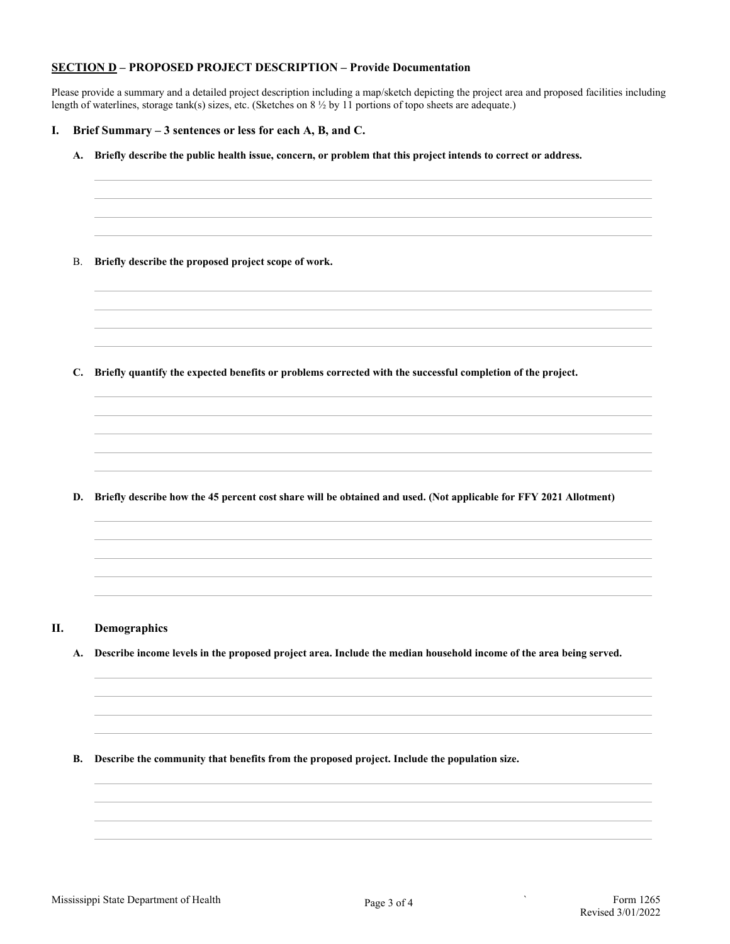### **SECTION D – PROPOSED PROJECT DESCRIPTION – Provide Documentation**

Please provide a summary and a detailed project description including a map/sketch depicting the project area and proposed facilities including length of waterlines, storage tank(s) sizes, etc. (Sketches on 8  $\frac{1}{2}$  by 11 portions of topo sheets are adequate.)

#### **I. Brief Summary – 3 sentences or less for each A, B, and C.**

- **A. Briefly describe the public health issue, concern, or problem that this project intends to correct or address.**
- B. **Briefly describe the proposed project scope of work.**

**C. Briefly quantify the expected benefits or problems corrected with the successful completion of the project.**

**D. Briefly describe how the 45 percent cost share will be obtained and used. (Not applicable for FFY 2021 Allotment)**

- **II. Demographics**
	- **A. Describe income levels in the proposed project area. Include the median household income of the area being served.**
	- **B. Describe the community that benefits from the proposed project. Include the population size.**